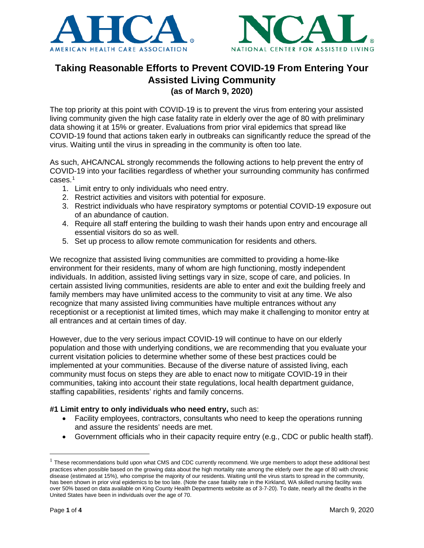



# **Taking Reasonable Efforts to Prevent COVID-19 From Entering Your Assisted Living Community (as of March 9, 2020)**

The top priority at this point with COVID-19 is to prevent the virus from entering your assisted living community given the high case fatality rate in elderly over the age of 80 with preliminary data showing it at 15% or greater. Evaluations from prior viral epidemics that spread like COVID-19 found that actions taken early in outbreaks can significantly reduce the spread of the virus. Waiting until the virus in spreading in the community is often too late.

As such, AHCA/NCAL strongly recommends the following actions to help prevent the entry of COVID-19 into your facilities regardless of whether your surrounding community has confirmed cases. [1](#page-0-0)

- 1. Limit entry to only individuals who need entry.
- 2. Restrict activities and visitors with potential for exposure.
- 3. Restrict individuals who have respiratory symptoms or potential COVID-19 exposure out of an abundance of caution.
- 4. Require all staff entering the building to wash their hands upon entry and encourage all essential visitors do so as well.
- 5. Set up process to allow remote communication for residents and others.

We recognize that assisted living communities are committed to providing a home-like environment for their residents, many of whom are high functioning, mostly independent individuals. In addition, assisted living settings vary in size, scope of care, and policies. In certain assisted living communities, residents are able to enter and exit the building freely and family members may have unlimited access to the community to visit at any time. We also recognize that many assisted living communities have multiple entrances without any receptionist or a receptionist at limited times, which may make it challenging to monitor entry at all entrances and at certain times of day.

However, due to the very serious impact COVID-19 will continue to have on our elderly population and those with underlying conditions, we are recommending that you evaluate your current visitation policies to determine whether some of these best practices could be implemented at your communities. Because of the diverse nature of assisted living, each community must focus on steps they are able to enact now to mitigate COVID-19 in their communities, taking into account their state regulations, local health department guidance, staffing capabilities, residents' rights and family concerns.

# **#1 Limit entry to only individuals who need entry,** such as:

- Facility employees, contractors, consultants who need to keep the operations running and assure the residents' needs are met.
- Government officials who in their capacity require entry (e.g., CDC or public health staff).

<span id="page-0-0"></span> $1$  These recommendations build upon what CMS and CDC currently recommend. We urge members to adopt these additional best practices when possible based on the growing data about the high mortality rate among the elderly over the age of 80 with chronic disease (estimated at 15%), who comprise the majority of our residents. Waiting until the virus starts to spread in the community, has been shown in prior viral epidemics to be too late. (Note the case fatality rate in the Kirkland, WA skilled nursing facility was over 50% based on data available on King County Health Departments website as of 3-7-20). To date, nearly all the deaths in the United States have been in individuals over the age of 70.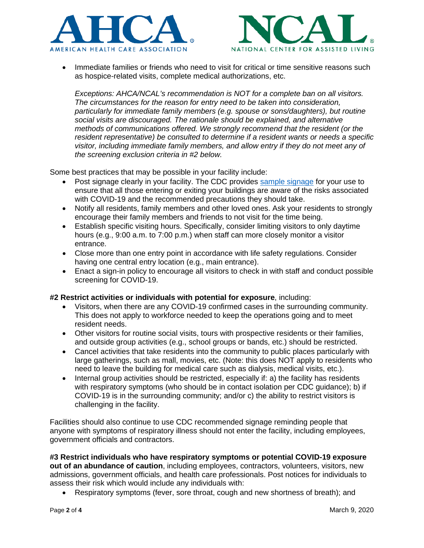



• Immediate families or friends who need to visit for critical or time sensitive reasons such as hospice-related visits, complete medical authorizations, etc.

*Exceptions: AHCA/NCAL's recommendation is NOT for a complete ban on all visitors. The circumstances for the reason for entry need to be taken into consideration, particularly for immediate family members (e.g. spouse or sons/daughters), but routine social visits are discouraged. The rationale should be explained, and alternative methods of communications offered. We strongly recommend that the resident (or the resident representative) be consulted to determine if a resident wants or needs a specific visitor, including immediate family members, and allow entry if they do not meet any of the screening exclusion criteria in #2 below.*

Some best practices that may be possible in your facility include:

- Post signage clearly in your facility. The CDC provides [sample signage](https://www.cdc.gov/infectioncontrol/basics/transmission-based-precautions.html#anchor_1564058318) for your use to ensure that all those entering or exiting your buildings are aware of the risks associated with COVID-19 and the recommended precautions they should take.
- Notify all residents, family members and other loved ones. Ask your residents to strongly encourage their family members and friends to not visit for the time being.
- Establish specific visiting hours. Specifically, consider limiting visitors to only daytime hours (e.g., 9:00 a.m. to 7:00 p.m.) when staff can more closely monitor a visitor entrance.
- Close more than one entry point in accordance with life safety regulations. Consider having one central entry location (e.g., main entrance).
- Enact a sign-in policy to encourage all visitors to check in with staff and conduct possible screening for COVID-19.

### **#2 Restrict activities or individuals with potential for exposure**, including:

- Visitors, when there are any COVID-19 confirmed cases in the surrounding community. This does not apply to workforce needed to keep the operations going and to meet resident needs.
- Other visitors for routine social visits, tours with prospective residents or their families, and outside group activities (e.g., school groups or bands, etc.) should be restricted.
- Cancel activities that take residents into the community to public places particularly with large gatherings, such as mall, movies, etc. (Note: this does NOT apply to residents who need to leave the building for medical care such as dialysis, medical visits, etc.).
- Internal group activities should be restricted, especially if: a) the facility has residents with respiratory symptoms (who should be in contact isolation per CDC guidance); b) if COVID-19 is in the surrounding community; and/or c) the ability to restrict visitors is challenging in the facility.

Facilities should also continue to use CDC recommended signage reminding people that anyone with symptoms of respiratory illness should not enter the facility, including employees, government officials and contractors.

**#3 Restrict individuals who have respiratory symptoms or potential COVID-19 exposure out of an abundance of caution**, including employees, contractors, volunteers, visitors, new admissions, government officials, and health care professionals. Post notices for individuals to assess their risk which would include any individuals with:

• Respiratory symptoms (fever, sore throat, cough and new shortness of breath); and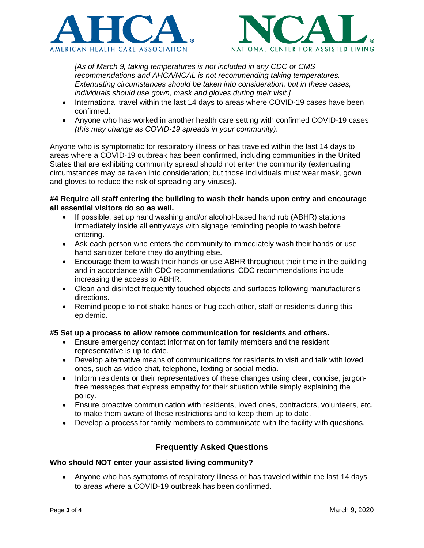



*[As of March 9, taking temperatures is not included in any CDC or CMS recommendations and AHCA/NCAL is not recommending taking temperatures. Extenuating circumstances should be taken into consideration, but in these cases, individuals should use gown, mask and gloves during their visit.]*

- International travel within the last 14 days to areas where COVID-19 cases have been confirmed.
- Anyone who has worked in another health care setting with confirmed COVID-19 cases *(this may change as COVID-19 spreads in your community)*.

Anyone who is symptomatic for respiratory illness or has traveled within the last 14 days to areas where a COVID-19 outbreak has been confirmed, including communities in the United States that are exhibiting community spread should not enter the community (extenuating circumstances may be taken into consideration; but those individuals must wear mask, gown and gloves to reduce the risk of spreading any viruses).

### **#4 Require all staff entering the building to wash their hands upon entry and encourage all essential visitors do so as well.**

- If possible, set up hand washing and/or alcohol-based hand rub (ABHR) stations immediately inside all entryways with signage reminding people to wash before entering.
- Ask each person who enters the community to immediately wash their hands or use hand sanitizer before they do anything else.
- Encourage them to wash their hands or use ABHR throughout their time in the building and in accordance with CDC recommendations. CDC recommendations include increasing the access to ABHR.
- Clean and disinfect frequently touched objects and surfaces following manufacturer's directions.
- Remind people to not shake hands or hug each other, staff or residents during this epidemic.

# **#5 Set up a process to allow remote communication for residents and others.**

- Ensure emergency contact information for family members and the resident representative is up to date.
- Develop alternative means of communications for residents to visit and talk with loved ones, such as video chat, telephone, texting or social media.
- Inform residents or their representatives of these changes using clear, concise, jargonfree messages that express empathy for their situation while simply explaining the policy.
- Ensure proactive communication with residents, loved ones, contractors, volunteers, etc. to make them aware of these restrictions and to keep them up to date.
- Develop a process for family members to communicate with the facility with questions.

# **Frequently Asked Questions**

# **Who should NOT enter your assisted living community?**

• Anyone who has symptoms of respiratory illness or has traveled within the last 14 days to areas where a COVID-19 outbreak has been confirmed.